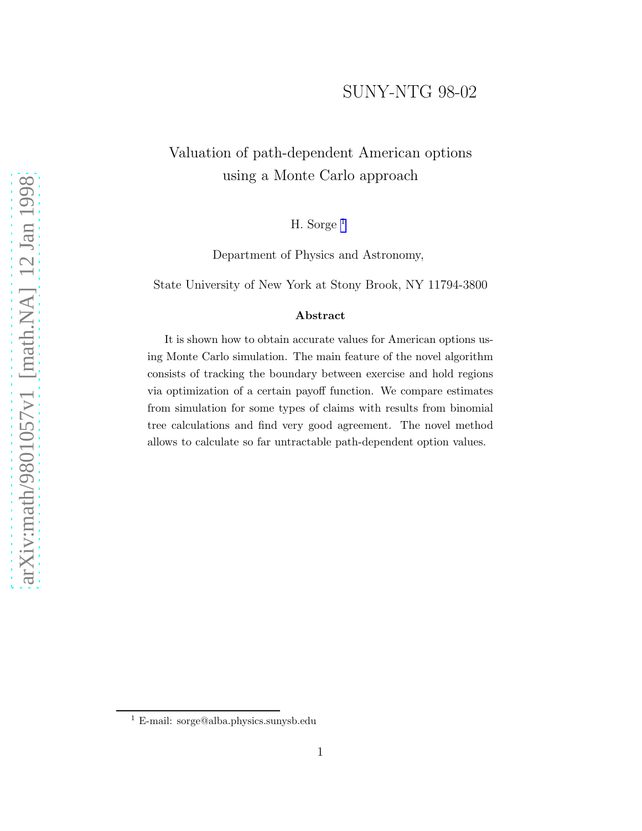## SUNY-NTG 98-02

## Valuation of path-dependent American options using a Monte Carlo approach

H. Sorge <sup>1</sup>

Department of Physics and Astronomy,

State University of New York at Stony Brook, NY 11794-3800

#### Abstract

It is shown how to obtain accurate values for American options using Monte Carlo simulation. The main feature of the novel algorithm consists of tracking the boundary between exercise and hold regions via optimization of a certain payoff function. We compare estimates from simulation for some types of claims with results from binomial tree calculations and find very good agreement. The novel method allows to calculate so far untractable path-dependent option values.

<sup>1</sup> E-mail: sorge@alba.physics.sunysb.edu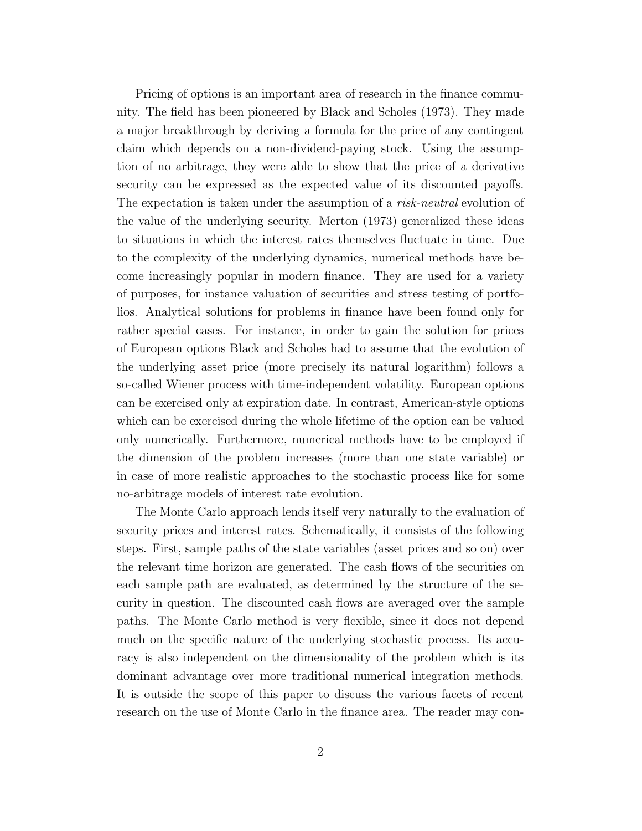Pricing of options is an important area of research in the finance community. The field has been pioneered by Black and Scholes (1973). They made a major breakthrough by deriving a formula for the price of any contingent claim which depends on a non-dividend-paying stock. Using the assumption of no arbitrage, they were able to show that the price of a derivative security can be expressed as the expected value of its discounted payoffs. The expectation is taken under the assumption of a *risk-neutral* evolution of the value of the underlying security. Merton (1973) generalized these ideas to situations in which the interest rates themselves fluctuate in time. Due to the complexity of the underlying dynamics, numerical methods have become increasingly popular in modern finance. They are used for a variety of purposes, for instance valuation of securities and stress testing of portfolios. Analytical solutions for problems in finance have been found only for rather special cases. For instance, in order to gain the solution for prices of European options Black and Scholes had to assume that the evolution of the underlying asset price (more precisely its natural logarithm) follows a so-called Wiener process with time-independent volatility. European options can be exercised only at expiration date. In contrast, American-style options which can be exercised during the whole lifetime of the option can be valued only numerically. Furthermore, numerical methods have to be employed if the dimension of the problem increases (more than one state variable) or in case of more realistic approaches to the stochastic process like for some no-arbitrage models of interest rate evolution.

The Monte Carlo approach lends itself very naturally to the evaluation of security prices and interest rates. Schematically, it consists of the following steps. First, sample paths of the state variables (asset prices and so on) over the relevant time horizon are generated. The cash flows of the securities on each sample path are evaluated, as determined by the structure of the security in question. The discounted cash flows are averaged over the sample paths. The Monte Carlo method is very flexible, since it does not depend much on the specific nature of the underlying stochastic process. Its accuracy is also independent on the dimensionality of the problem which is its dominant advantage over more traditional numerical integration methods. It is outside the scope of this paper to discuss the various facets of recent research on the use of Monte Carlo in the finance area. The reader may con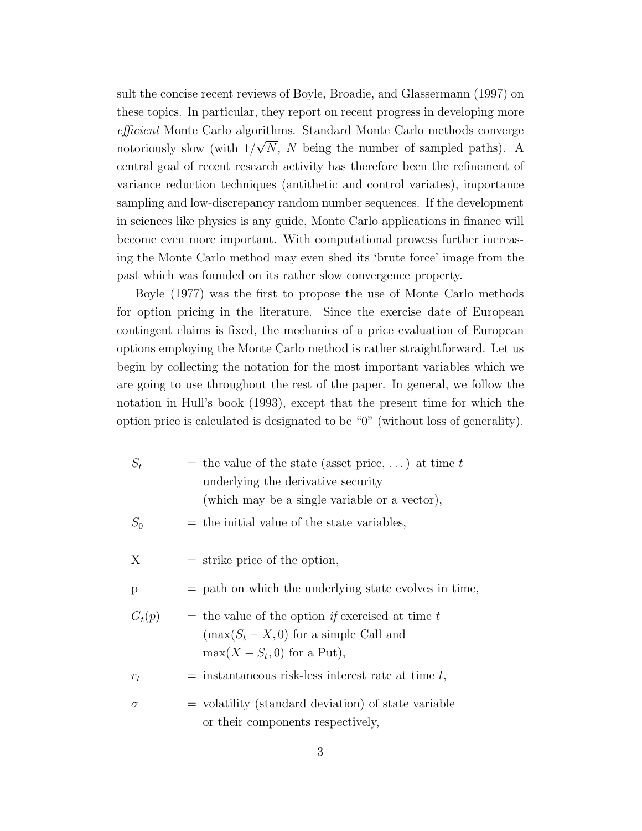sult the concise recent reviews of Boyle, Broadie, and Glassermann (1997) on these topics. In particular, they report on recent progress in developing more efficient Monte Carlo algorithms. Standard Monte Carlo methods converge notoriously slow (with  $1/\sqrt{N}$ , N being the number of sampled paths). A central goal of recent research activity has therefore been the refinement of variance reduction techniques (antithetic and control variates), importance sampling and low-discrepancy random number sequences. If the development in sciences like physics is any guide, Monte Carlo applications in finance will become even more important. With computational prowess further increasing the Monte Carlo method may even shed its 'brute force' image from the past which was founded on its rather slow convergence property.

Boyle (1977) was the first to propose the use of Monte Carlo methods for option pricing in the literature. Since the exercise date of European contingent claims is fixed, the mechanics of a price evaluation of European options employing the Monte Carlo method is rather straightforward. Let us begin by collecting the notation for the most important variables which we are going to use throughout the rest of the paper. In general, we follow the notation in Hull's book (1993), except that the present time for which the option price is calculated is designated to be "0" (without loss of generality).

| $S_t$    | = the value of the state (asset price, ) at time t<br>underlying the derivative security<br>(which may be a single variable or a vector), |
|----------|-------------------------------------------------------------------------------------------------------------------------------------------|
| $S_0$    | $=$ the initial value of the state variables,                                                                                             |
| X        | $=$ strike price of the option,                                                                                                           |
| p        | $=$ path on which the underlying state evolves in time,                                                                                   |
| $G_t(p)$ | $=$ the value of the option if exercised at time t<br>$(\max(S_t - X, 0)$ for a simple Call and<br>$\max(X - S_t, 0)$ for a Put),         |
| $r_{t}$  | $=$ instantaneous risk-less interest rate at time t,                                                                                      |
| $\sigma$ | $=$ volatility (standard deviation) of state variable<br>or their components respectively,                                                |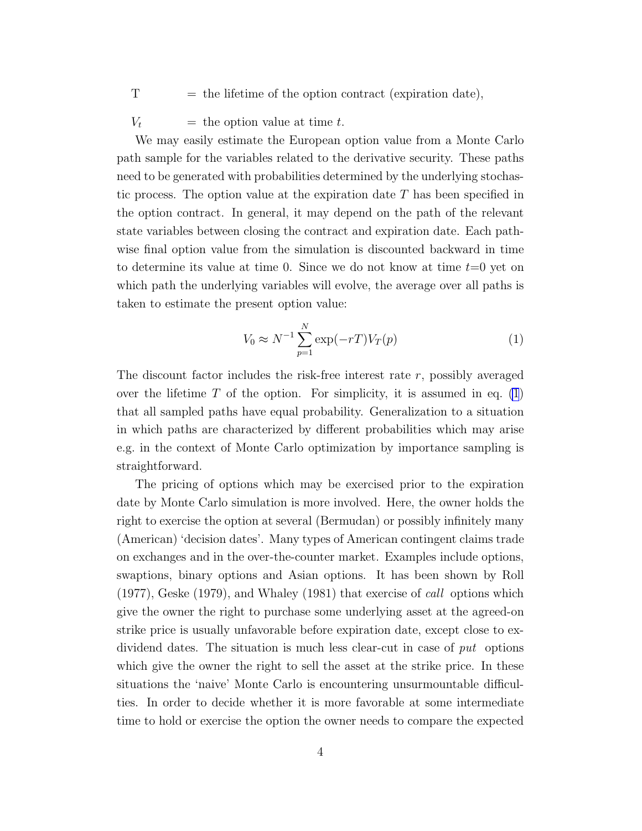<span id="page-3-0"></span> $T =$  the lifetime of the option contract (expiration date),

 $V_t$  = the option value at time t.

We may easily estimate the European option value from a Monte Carlo path sample for the variables related to the derivative security. These paths need to be generated with probabilities determined by the underlying stochastic process. The option value at the expiration date T has been specified in the option contract. In general, it may depend on the path of the relevant state variables between closing the contract and expiration date. Each pathwise final option value from the simulation is discounted backward in time to determine its value at time 0. Since we do not know at time  $t=0$  yet on which path the underlying variables will evolve, the average over all paths is taken to estimate the present option value:

$$
V_0 \approx N^{-1} \sum_{p=1}^{N} \exp(-rT) V_T(p) \tag{1}
$$

The discount factor includes the risk-free interest rate  $r$ , possibly averaged over the lifetime  $T$  of the option. For simplicity, it is assumed in eq. (1) that all sampled paths have equal probability. Generalization to a situation in which paths are characterized by different probabilities which may arise e.g. in the context of Monte Carlo optimization by importance sampling is straightforward.

The pricing of options which may be exercised prior to the expiration date by Monte Carlo simulation is more involved. Here, the owner holds the right to exercise the option at several (Bermudan) or possibly infinitely many (American) 'decision dates'. Many types of American contingent claims trade on exchanges and in the over-the-counter market. Examples include options, swaptions, binary options and Asian options. It has been shown by Roll  $(1977)$ , Geske  $(1979)$ , and Whaley  $(1981)$  that exercise of *call* options which give the owner the right to purchase some underlying asset at the agreed-on strike price is usually unfavorable before expiration date, except close to exdividend dates. The situation is much less clear-cut in case of put options which give the owner the right to sell the asset at the strike price. In these situations the 'naive' Monte Carlo is encountering unsurmountable difficulties. In order to decide whether it is more favorable at some intermediate time to hold or exercise the option the owner needs to compare the expected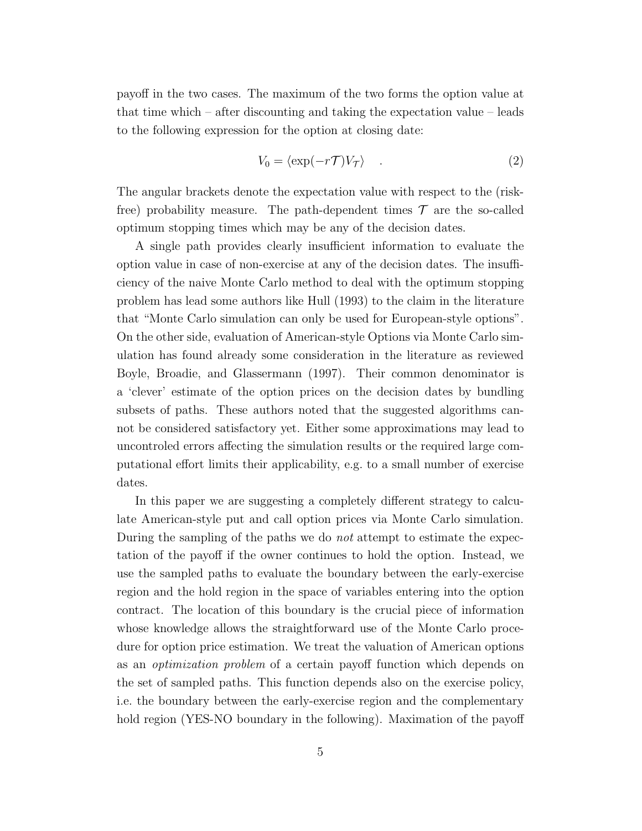payoff in the two cases. The maximum of the two forms the option value at that time which – after discounting and taking the expectation value – leads to the following expression for the option at closing date:

$$
V_0 = \langle \exp(-r\mathcal{T})V_{\mathcal{T}} \rangle \tag{2}
$$

The angular brackets denote the expectation value with respect to the (riskfree) probability measure. The path-dependent times  $\mathcal T$  are the so-called optimum stopping times which may be any of the decision dates.

A single path provides clearly insufficient information to evaluate the option value in case of non-exercise at any of the decision dates. The insufficiency of the naive Monte Carlo method to deal with the optimum stopping problem has lead some authors like Hull (1993) to the claim in the literature that "Monte Carlo simulation can only be used for European-style options". On the other side, evaluation of American-style Options via Monte Carlo simulation has found already some consideration in the literature as reviewed Boyle, Broadie, and Glassermann (1997). Their common denominator is a 'clever' estimate of the option prices on the decision dates by bundling subsets of paths. These authors noted that the suggested algorithms cannot be considered satisfactory yet. Either some approximations may lead to uncontroled errors affecting the simulation results or the required large computational effort limits their applicability, e.g. to a small number of exercise dates.

In this paper we are suggesting a completely different strategy to calculate American-style put and call option prices via Monte Carlo simulation. During the sampling of the paths we do not attempt to estimate the expectation of the payoff if the owner continues to hold the option. Instead, we use the sampled paths to evaluate the boundary between the early-exercise region and the hold region in the space of variables entering into the option contract. The location of this boundary is the crucial piece of information whose knowledge allows the straightforward use of the Monte Carlo procedure for option price estimation. We treat the valuation of American options as an optimization problem of a certain payoff function which depends on the set of sampled paths. This function depends also on the exercise policy, i.e. the boundary between the early-exercise region and the complementary hold region (YES-NO boundary in the following). Maximation of the payoff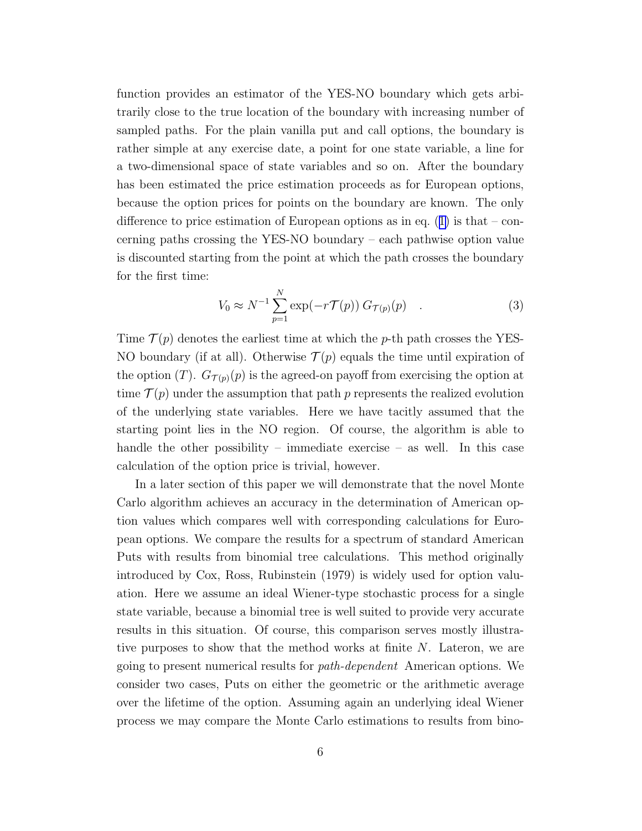<span id="page-5-0"></span>function provides an estimator of the YES-NO boundary which gets arbitrarily close to the true location of the boundary with increasing number of sampled paths. For the plain vanilla put and call options, the boundary is rather simple at any exercise date, a point for one state variable, a line for a two-dimensional space of state variables and so on. After the boundary has been estimated the price estimation proceeds as for European options, because the option prices for points on the boundary are known. The only differenceto price estimation of European options as in eq.  $(1)$  $(1)$  is that – concerning paths crossing the YES-NO boundary – each pathwise option value is discounted starting from the point at which the path crosses the boundary for the first time:

$$
V_0 \approx N^{-1} \sum_{p=1}^{N} \exp(-r \mathcal{T}(p)) G_{\mathcal{T}(p)}(p) . \qquad (3)
$$

Time  $\mathcal{T}(p)$  denotes the earliest time at which the p-th path crosses the YES-NO boundary (if at all). Otherwise  $\mathcal{T}(p)$  equals the time until expiration of the option (T).  $G_{\mathcal{T}(p)}(p)$  is the agreed-on payoff from exercising the option at time  $\mathcal{T}(p)$  under the assumption that path p represents the realized evolution of the underlying state variables. Here we have tacitly assumed that the starting point lies in the NO region. Of course, the algorithm is able to handle the other possibility – immediate exercise – as well. In this case calculation of the option price is trivial, however.

In a later section of this paper we will demonstrate that the novel Monte Carlo algorithm achieves an accuracy in the determination of American option values which compares well with corresponding calculations for European options. We compare the results for a spectrum of standard American Puts with results from binomial tree calculations. This method originally introduced by Cox, Ross, Rubinstein (1979) is widely used for option valuation. Here we assume an ideal Wiener-type stochastic process for a single state variable, because a binomial tree is well suited to provide very accurate results in this situation. Of course, this comparison serves mostly illustrative purposes to show that the method works at finite N. Lateron, we are going to present numerical results for path-dependent American options. We consider two cases, Puts on either the geometric or the arithmetic average over the lifetime of the option. Assuming again an underlying ideal Wiener process we may compare the Monte Carlo estimations to results from bino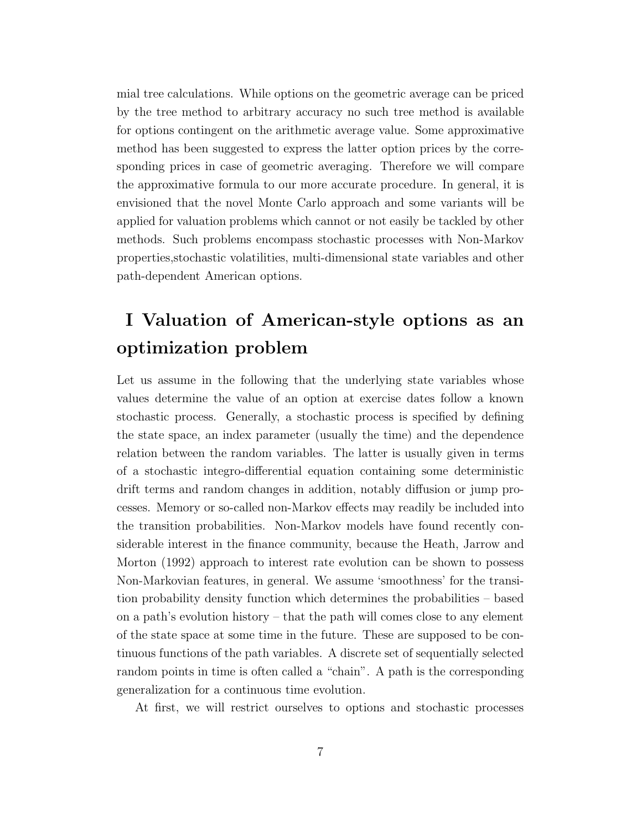mial tree calculations. While options on the geometric average can be priced by the tree method to arbitrary accuracy no such tree method is available for options contingent on the arithmetic average value. Some approximative method has been suggested to express the latter option prices by the corresponding prices in case of geometric averaging. Therefore we will compare the approximative formula to our more accurate procedure. In general, it is envisioned that the novel Monte Carlo approach and some variants will be applied for valuation problems which cannot or not easily be tackled by other methods. Such problems encompass stochastic processes with Non-Markov properties,stochastic volatilities, multi-dimensional state variables and other path-dependent American options.

# I Valuation of American-style options as an optimization problem

Let us assume in the following that the underlying state variables whose values determine the value of an option at exercise dates follow a known stochastic process. Generally, a stochastic process is specified by defining the state space, an index parameter (usually the time) and the dependence relation between the random variables. The latter is usually given in terms of a stochastic integro-differential equation containing some deterministic drift terms and random changes in addition, notably diffusion or jump processes. Memory or so-called non-Markov effects may readily be included into the transition probabilities. Non-Markov models have found recently considerable interest in the finance community, because the Heath, Jarrow and Morton (1992) approach to interest rate evolution can be shown to possess Non-Markovian features, in general. We assume 'smoothness' for the transition probability density function which determines the probabilities – based on a path's evolution history – that the path will comes close to any element of the state space at some time in the future. These are supposed to be continuous functions of the path variables. A discrete set of sequentially selected random points in time is often called a "chain". A path is the corresponding generalization for a continuous time evolution.

At first, we will restrict ourselves to options and stochastic processes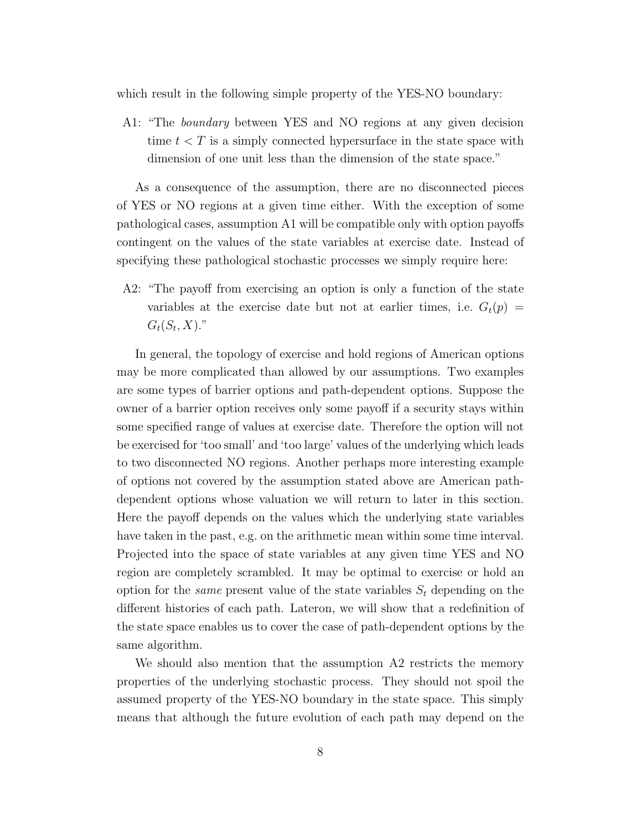which result in the following simple property of the YES-NO boundary:

A1: "The boundary between YES and NO regions at any given decision time  $t < T$  is a simply connected hypersurface in the state space with dimension of one unit less than the dimension of the state space."

As a consequence of the assumption, there are no disconnected pieces of YES or NO regions at a given time either. With the exception of some pathological cases, assumption A1 will be compatible only with option payoffs contingent on the values of the state variables at exercise date. Instead of specifying these pathological stochastic processes we simply require here:

A2: "The payoff from exercising an option is only a function of the state variables at the exercise date but not at earlier times, i.e.  $G_t(p)$  $G_t(S_t, X)$ ."

In general, the topology of exercise and hold regions of American options may be more complicated than allowed by our assumptions. Two examples are some types of barrier options and path-dependent options. Suppose the owner of a barrier option receives only some payoff if a security stays within some specified range of values at exercise date. Therefore the option will not be exercised for 'too small' and 'too large' values of the underlying which leads to two disconnected NO regions. Another perhaps more interesting example of options not covered by the assumption stated above are American pathdependent options whose valuation we will return to later in this section. Here the payoff depends on the values which the underlying state variables have taken in the past, e.g. on the arithmetic mean within some time interval. Projected into the space of state variables at any given time YES and NO region are completely scrambled. It may be optimal to exercise or hold an option for the *same* present value of the state variables  $S_t$  depending on the different histories of each path. Lateron, we will show that a redefinition of the state space enables us to cover the case of path-dependent options by the same algorithm.

We should also mention that the assumption A2 restricts the memory properties of the underlying stochastic process. They should not spoil the assumed property of the YES-NO boundary in the state space. This simply means that although the future evolution of each path may depend on the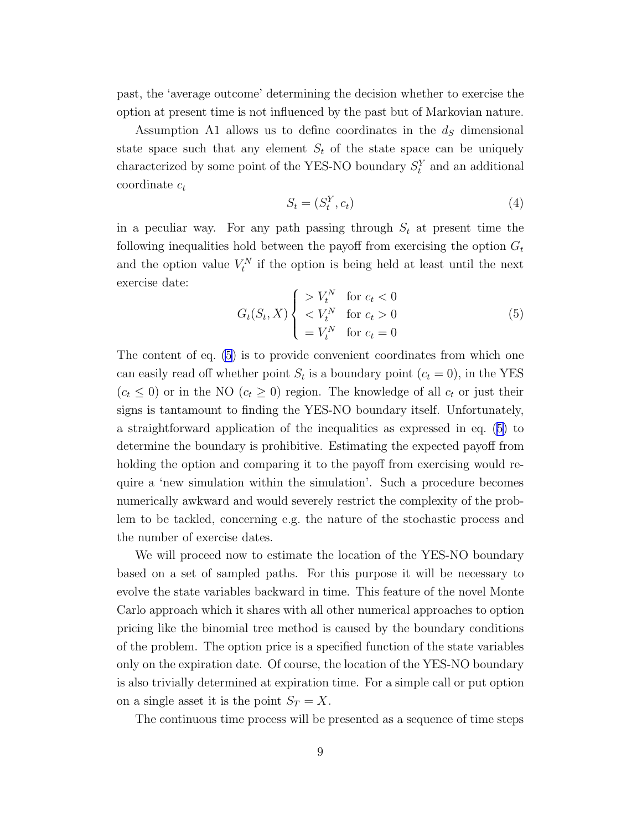<span id="page-8-0"></span>past, the 'average outcome' determining the decision whether to exercise the option at present time is not influenced by the past but of Markovian nature.

Assumption A1 allows us to define coordinates in the  $d<sub>S</sub>$  dimensional state space such that any element  $S_t$  of the state space can be uniquely characterized by some point of the YES-NO boundary  $S_t^Y$  and an additional coordinate  $c_t$ 

$$
S_t = (S_t^Y, c_t) \tag{4}
$$

in a peculiar way. For any path passing through  $S_t$  at present time the following inequalities hold between the payoff from exercising the option  $G_t$ and the option value  $V_t^N$  if the option is being held at least until the next exercise date:

$$
G_t(S_t, X) \begin{cases} > V_t^N \quad \text{for } c_t < 0\\ < V_t^N \quad \text{for } c_t > 0\\ &= V_t^N \quad \text{for } c_t = 0 \end{cases} \tag{5}
$$

The content of eq. (5) is to provide convenient coordinates from which one can easily read off whether point  $S_t$  is a boundary point  $(c_t = 0)$ , in the YES  $(c_t \leq 0)$  or in the NO  $(c_t \geq 0)$  region. The knowledge of all  $c_t$  or just their signs is tantamount to finding the YES-NO boundary itself. Unfortunately, a straightforward application of the inequalities as expressed in eq. (5) to determine the boundary is prohibitive. Estimating the expected payoff from holding the option and comparing it to the payoff from exercising would require a 'new simulation within the simulation'. Such a procedure becomes numerically awkward and would severely restrict the complexity of the problem to be tackled, concerning e.g. the nature of the stochastic process and the number of exercise dates.

We will proceed now to estimate the location of the YES-NO boundary based on a set of sampled paths. For this purpose it will be necessary to evolve the state variables backward in time. This feature of the novel Monte Carlo approach which it shares with all other numerical approaches to option pricing like the binomial tree method is caused by the boundary conditions of the problem. The option price is a specified function of the state variables only on the expiration date. Of course, the location of the YES-NO boundary is also trivially determined at expiration time. For a simple call or put option on a single asset it is the point  $S_T = X$ .

The continuous time process will be presented as a sequence of time steps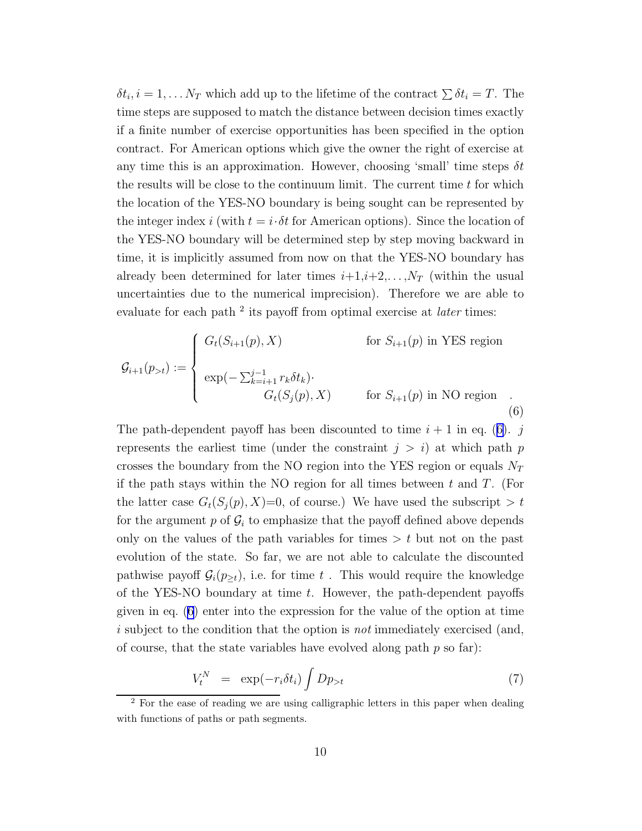<span id="page-9-0"></span> $\delta t_i$ ,  $i = 1, \ldots N_T$  which add up to the lifetime of the contract  $\sum \delta t_i = T$ . The time steps are supposed to match the distance between decision times exactly if a finite number of exercise opportunities has been specified in the option contract. For American options which give the owner the right of exercise at any time this is an approximation. However, choosing 'small' time steps  $\delta t$ the results will be close to the continuum limit. The current time t for which the location of the YES-NO boundary is being sought can be represented by the integer index i (with  $t = i \cdot \delta t$  for American options). Since the location of the YES-NO boundary will be determined step by step moving backward in time, it is implicitly assumed from now on that the YES-NO boundary has already been determined for later times  $i+1,i+2,\ldots,N_T$  (within the usual uncertainties due to the numerical imprecision). Therefore we are able to evaluate for each path<sup>2</sup> its payoff from optimal exercise at *later* times:

$$
\mathcal{G}_{i+1}(p_{>t}) := \begin{cases}\nG_t(S_{i+1}(p), X) & \text{for } S_{i+1}(p) \text{ in } \text{YES region} \\
\exp(-\sum_{k=i+1}^{j-1} r_k \delta t_k) \cdot \\
G_t(S_j(p), X) & \text{for } S_{i+1}(p) \text{ in NO region} \tag{6}\n\end{cases}
$$

The path-dependent payoff has been discounted to time  $i + 1$  in eq. (6). j represents the earliest time (under the constraint  $j > i$ ) at which path p crosses the boundary from the NO region into the YES region or equals  $N_T$ if the path stays within the NO region for all times between  $t$  and  $T$ . (For the latter case  $G_t(S_j(p), X)=0$ , of course.) We have used the subscript  $>t$ for the argument  $p$  of  $\mathcal{G}_i$  to emphasize that the payoff defined above depends only on the values of the path variables for times  $> t$  but not on the past evolution of the state. So far, we are not able to calculate the discounted pathwise payoff  $\mathcal{G}_i(p_{\geq t})$ , i.e. for time t. This would require the knowledge of the YES-NO boundary at time t. However, the path-dependent payoffs given in eq. (6) enter into the expression for the value of the option at time i subject to the condition that the option is *not* immediately exercised (and, of course, that the state variables have evolved along path  $p$  so far):

$$
V_t^N = \exp(-r_i \delta t_i) \int Dp_{>t} \tag{7}
$$

<sup>&</sup>lt;sup>2</sup> For the ease of reading we are using calligraphic letters in this paper when dealing with functions of paths or path segments.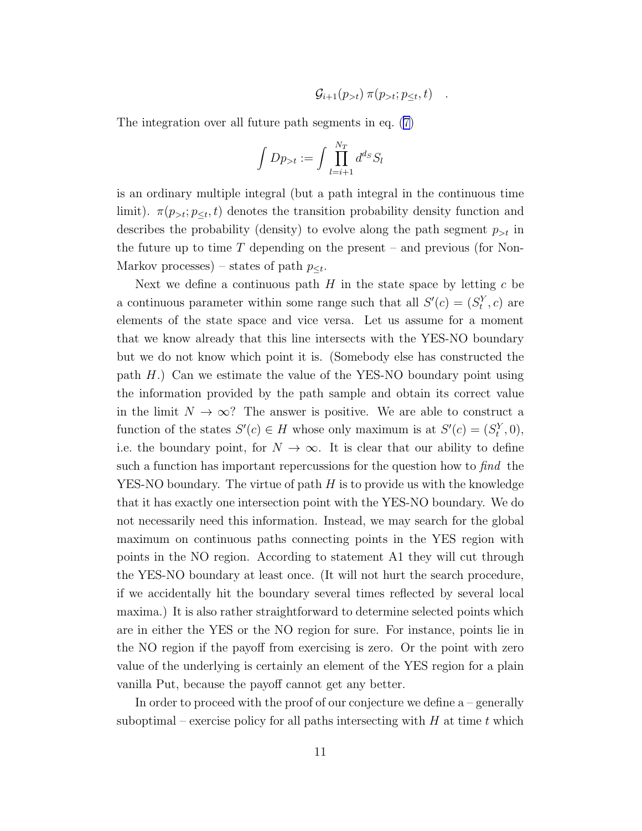$$
\mathcal{G}_{i+1}(p_{>t}) \pi(p_{>t}; p_{\leq t}, t) \quad .
$$

The integration over all future path segments in eq.([7\)](#page-9-0)

$$
\int Dp_{>t} := \int \prod_{l=i+1}^{N_T} d^{d_S} S_l
$$

is an ordinary multiple integral (but a path integral in the continuous time limit).  $\pi(p_{>t}; p_{\leq t}, t)$  denotes the transition probability density function and describes the probability (density) to evolve along the path segment  $p_{>t}$  in the future up to time  $T$  depending on the present – and previous (for Non-Markov processes) – states of path  $p_{\leq t}$ .

Next we define a continuous path  $H$  in the state space by letting  $c$  be a continuous parameter within some range such that all  $S'(c) = (S_t^Y, c)$  are elements of the state space and vice versa. Let us assume for a moment that we know already that this line intersects with the YES-NO boundary but we do not know which point it is. (Somebody else has constructed the path  $H$ .) Can we estimate the value of the YES-NO boundary point using the information provided by the path sample and obtain its correct value in the limit  $N \to \infty$ ? The answer is positive. We are able to construct a function of the states  $S'(c) \in H$  whose only maximum is at  $S'(c) = (S_t^Y, 0),$ i.e. the boundary point, for  $N \to \infty$ . It is clear that our ability to define such a function has important repercussions for the question how to find the YES-NO boundary. The virtue of path  $H$  is to provide us with the knowledge that it has exactly one intersection point with the YES-NO boundary. We do not necessarily need this information. Instead, we may search for the global maximum on continuous paths connecting points in the YES region with points in the NO region. According to statement A1 they will cut through the YES-NO boundary at least once. (It will not hurt the search procedure, if we accidentally hit the boundary several times reflected by several local maxima.) It is also rather straightforward to determine selected points which are in either the YES or the NO region for sure. For instance, points lie in the NO region if the payoff from exercising is zero. Or the point with zero value of the underlying is certainly an element of the YES region for a plain vanilla Put, because the payoff cannot get any better.

In order to proceed with the proof of our conjecture we define a – generally suboptimal – exercise policy for all paths intersecting with  $H$  at time  $t$  which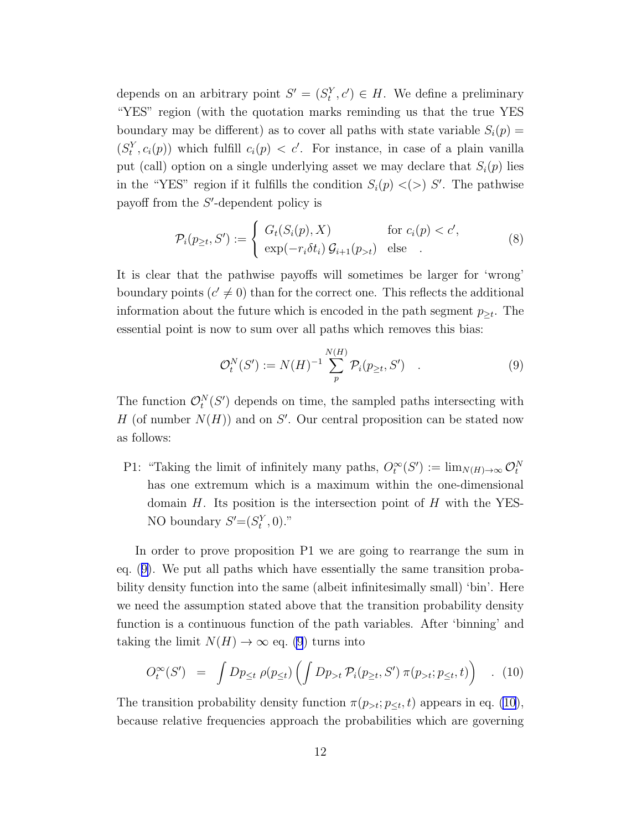<span id="page-11-0"></span>depends on an arbitrary point  $S' = (S_t^Y, c') \in H$ . We define a preliminary "YES" region (with the quotation marks reminding us that the true YES boundary may be different) as to cover all paths with state variable  $S_i(p)$  =  $(S_t^Y, c_i(p))$  which fulfill  $c_i(p) < c'$ . For instance, in case of a plain vanilla put (call) option on a single underlying asset we may declare that  $S_i(p)$  lies in the "YES" region if it fulfills the condition  $S_i(p) \lt(>)$  S'. The pathwise payoff from the S'-dependent policy is

$$
\mathcal{P}_i(p_{\geq t}, S') := \begin{cases} G_t(S_i(p), X) & \text{for } c_i(p) < c', \\ \exp(-r_i \delta t_i) \mathcal{G}_{i+1}(p_{>t}) & \text{else} \end{cases} \tag{8}
$$

It is clear that the pathwise payoffs will sometimes be larger for 'wrong' boundary points  $(c' \neq 0)$  than for the correct one. This reflects the additional information about the future which is encoded in the path segment  $p_{\geq t}$ . The essential point is now to sum over all paths which removes this bias:

$$
\mathcal{O}_t^N(S') := N(H)^{-1} \sum_{p}^{N(H)} \mathcal{P}_i(p_{\geq t}, S') \quad . \tag{9}
$$

The function  $\mathcal{O}_t^N(S')$  depends on time, the sampled paths intersecting with H (of number  $N(H)$ ) and on S'. Our central proposition can be stated now as follows:

P1: "Taking the limit of infinitely many paths,  $O_t^{\infty}(S') := \lim_{N(H) \to \infty} O_t^N$ has one extremum which is a maximum within the one-dimensional domain  $H$ . Its position is the intersection point of  $H$  with the YES-NO boundary  $S'=(S_t^Y,0)$ ."

In order to prove proposition P1 we are going to rearrange the sum in eq. (9). We put all paths which have essentially the same transition probability density function into the same (albeit infinitesimally small) 'bin'. Here we need the assumption stated above that the transition probability density function is a continuous function of the path variables. After 'binning' and taking the limit  $N(H) \to \infty$  eq. (9) turns into

$$
O_t^{\infty}(S') = \int Dp_{\leq t} \rho(p_{\leq t}) \left( \int Dp_{>t} \mathcal{P}_i(p_{\geq t}, S') \pi(p_{>t}; p_{\leq t}, t) \right) \quad . \tag{10}
$$

The transition probability density function  $\pi(p_{>t}; p_{\leq t}, t)$  appears in eq. (10), because relative frequencies approach the probabilities which are governing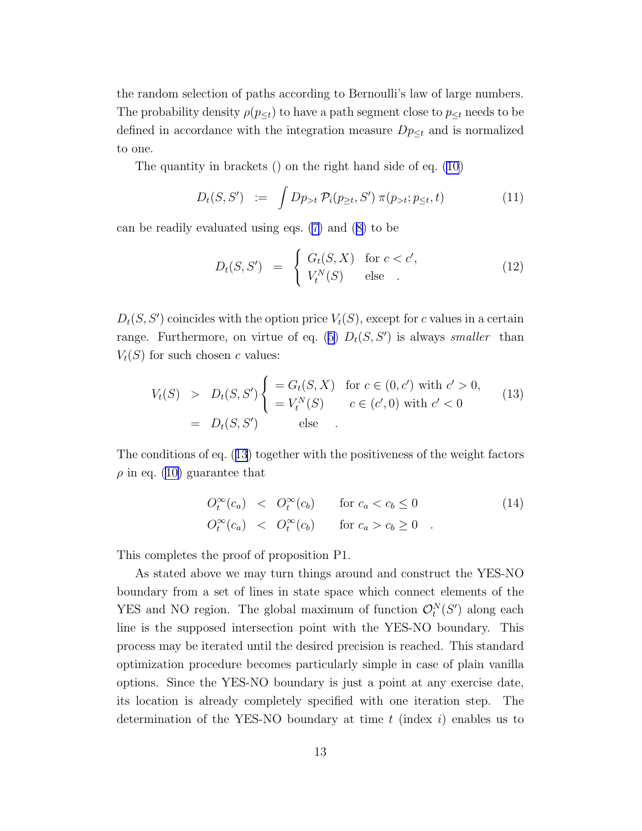the random selection of paths according to Bernoulli's law of large numbers. The probability density  $\rho(p_{\leq t})$  to have a path segment close to  $p_{\leq t}$  needs to be defined in accordance with the integration measure  $Dp_{\leq t}$  and is normalized to one.

The quantity in brackets () on the right hand side of eq. [\(10](#page-11-0))

$$
D_t(S, S') := \int Dp_{>t} \, \mathcal{P}_i(p_{\geq t}, S') \, \pi(p_{>t}; p_{\leq t}, t) \tag{11}
$$

can be readily evaluated using eqs. [\(7\)](#page-9-0) and([8\)](#page-11-0) to be

$$
D_t(S, S') = \begin{cases} G_t(S, X) & \text{for } c < c', \\ V_t^N(S) & \text{else} \end{cases} \tag{12}
$$

 $D_t(S, S')$  coincides with the option price  $V_t(S)$ , except for c values in a certain range.Furthermore, on virtue of eq. ([5\)](#page-8-0)  $D_t(S, S')$  is always smaller than  $V_t(S)$  for such chosen c values:

$$
V_t(S) > D_t(S, S') \begin{cases} = G_t(S, X) & \text{for } c \in (0, c') \text{ with } c' > 0, \\ = V_t^N(S) & c \in (c', 0) \text{ with } c' < 0 \end{cases}
$$
(13)  
=  $D_t(S, S')$  else

The conditions of eq. (13) together with the positiveness of the weight factors  $\rho$  in eq. [\(10\)](#page-11-0) guarantee that

$$
O_t^{\infty}(c_a) < O_t^{\infty}(c_b) \quad \text{for } c_a < c_b \le 0
$$
\n
$$
O_t^{\infty}(c_a) < O_t^{\infty}(c_b) \quad \text{for } c_a > c_b \ge 0 \quad . \tag{14}
$$

This completes the proof of proposition P1.

As stated above we may turn things around and construct the YES-NO boundary from a set of lines in state space which connect elements of the YES and NO region. The global maximum of function  $\mathcal{O}_t^N(S')$  along each line is the supposed intersection point with the YES-NO boundary. This process may be iterated until the desired precision is reached. This standard optimization procedure becomes particularly simple in case of plain vanilla options. Since the YES-NO boundary is just a point at any exercise date, its location is already completely specified with one iteration step. The determination of the YES-NO boundary at time  $t$  (index  $i$ ) enables us to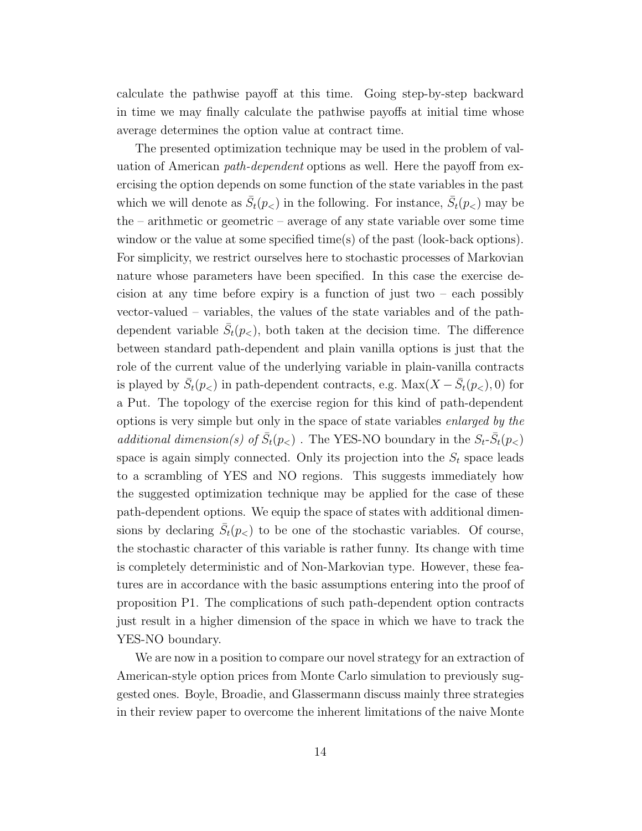calculate the pathwise payoff at this time. Going step-by-step backward in time we may finally calculate the pathwise payoffs at initial time whose average determines the option value at contract time.

The presented optimization technique may be used in the problem of valuation of American path-dependent options as well. Here the payoff from exercising the option depends on some function of the state variables in the past which we will denote as  $\bar{S}_t(p_<)$  in the following. For instance,  $\bar{S}_t(p_<)$  may be the – arithmetic or geometric – average of any state variable over some time window or the value at some specified time(s) of the past (look-back options). For simplicity, we restrict ourselves here to stochastic processes of Markovian nature whose parameters have been specified. In this case the exercise decision at any time before expiry is a function of just two – each possibly vector-valued – variables, the values of the state variables and of the pathdependent variable  $\bar{S}_t(p_<)$ , both taken at the decision time. The difference between standard path-dependent and plain vanilla options is just that the role of the current value of the underlying variable in plain-vanilla contracts is played by  $\bar{S}_t(p_<)$  in path-dependent contracts, e.g.  $\text{Max}(X - \bar{S}_t(p_<), 0)$  for a Put. The topology of the exercise region for this kind of path-dependent options is very simple but only in the space of state variables enlarged by the additional dimension(s) of  $\bar{S}_t(p_<)$ . The YES-NO boundary in the  $S_t$ - $\bar{S}_t(p_<)$ space is again simply connected. Only its projection into the  $S_t$  space leads to a scrambling of YES and NO regions. This suggests immediately how the suggested optimization technique may be applied for the case of these path-dependent options. We equip the space of states with additional dimensions by declaring  $\bar{S}_t(p_<)$  to be one of the stochastic variables. Of course, the stochastic character of this variable is rather funny. Its change with time is completely deterministic and of Non-Markovian type. However, these features are in accordance with the basic assumptions entering into the proof of proposition P1. The complications of such path-dependent option contracts just result in a higher dimension of the space in which we have to track the YES-NO boundary.

We are now in a position to compare our novel strategy for an extraction of American-style option prices from Monte Carlo simulation to previously suggested ones. Boyle, Broadie, and Glassermann discuss mainly three strategies in their review paper to overcome the inherent limitations of the naive Monte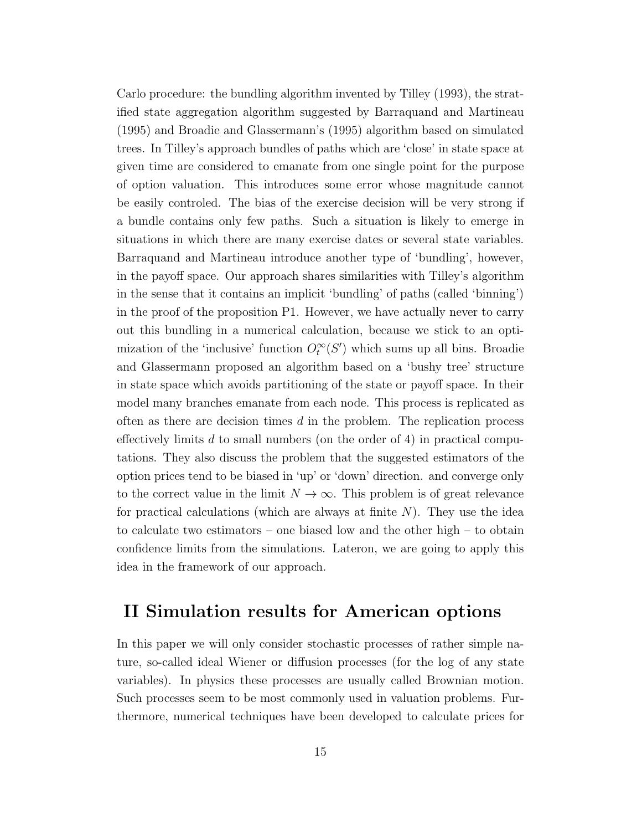Carlo procedure: the bundling algorithm invented by Tilley (1993), the stratified state aggregation algorithm suggested by Barraquand and Martineau (1995) and Broadie and Glassermann's (1995) algorithm based on simulated trees. In Tilley's approach bundles of paths which are 'close' in state space at given time are considered to emanate from one single point for the purpose of option valuation. This introduces some error whose magnitude cannot be easily controled. The bias of the exercise decision will be very strong if a bundle contains only few paths. Such a situation is likely to emerge in situations in which there are many exercise dates or several state variables. Barraquand and Martineau introduce another type of 'bundling', however, in the payoff space. Our approach shares similarities with Tilley's algorithm in the sense that it contains an implicit 'bundling' of paths (called 'binning') in the proof of the proposition P1. However, we have actually never to carry out this bundling in a numerical calculation, because we stick to an optimization of the 'inclusive' function  $O_t^{\infty}(S')$  which sums up all bins. Broadie and Glassermann proposed an algorithm based on a 'bushy tree' structure in state space which avoids partitioning of the state or payoff space. In their model many branches emanate from each node. This process is replicated as often as there are decision times  $d$  in the problem. The replication process effectively limits  $d$  to small numbers (on the order of 4) in practical computations. They also discuss the problem that the suggested estimators of the option prices tend to be biased in 'up' or 'down' direction. and converge only to the correct value in the limit  $N \to \infty$ . This problem is of great relevance for practical calculations (which are always at finite  $N$ ). They use the idea to calculate two estimators – one biased low and the other high – to obtain confidence limits from the simulations. Lateron, we are going to apply this idea in the framework of our approach.

### II Simulation results for American options

In this paper we will only consider stochastic processes of rather simple nature, so-called ideal Wiener or diffusion processes (for the log of any state variables). In physics these processes are usually called Brownian motion. Such processes seem to be most commonly used in valuation problems. Furthermore, numerical techniques have been developed to calculate prices for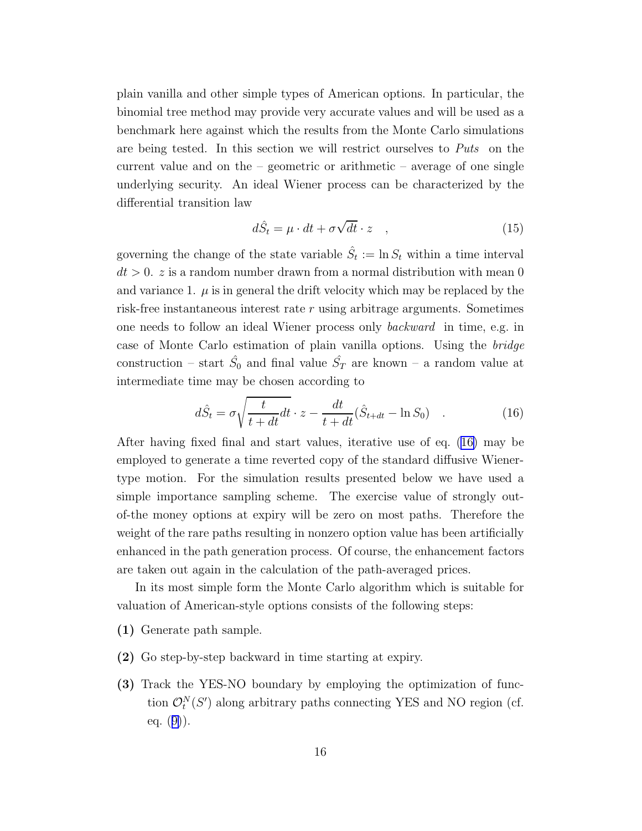plain vanilla and other simple types of American options. In particular, the binomial tree method may provide very accurate values and will be used as a benchmark here against which the results from the Monte Carlo simulations are being tested. In this section we will restrict ourselves to Puts on the current value and on the  $-$  geometric or arithmetic  $-$  average of one single underlying security. An ideal Wiener process can be characterized by the differential transition law

$$
d\hat{S}_t = \mu \cdot dt + \sigma \sqrt{dt} \cdot z \quad , \tag{15}
$$

governing the change of the state variable  $\hat{S}_t := \ln S_t$  within a time interval  $dt > 0$ . z is a random number drawn from a normal distribution with mean 0 and variance 1.  $\mu$  is in general the drift velocity which may be replaced by the risk-free instantaneous interest rate  $r$  using arbitrage arguments. Sometimes one needs to follow an ideal Wiener process only backward in time, e.g. in case of Monte Carlo estimation of plain vanilla options. Using the bridge construction – start  $\hat{S}_0$  and final value  $\hat{S}_T$  are known – a random value at intermediate time may be chosen according to

$$
d\hat{S}_t = \sigma \sqrt{\frac{t}{t + dt}} dt \cdot z - \frac{dt}{t + dt} (\hat{S}_{t + dt} - \ln S_0) \quad . \tag{16}
$$

After having fixed final and start values, iterative use of eq. (16) may be employed to generate a time reverted copy of the standard diffusive Wienertype motion. For the simulation results presented below we have used a simple importance sampling scheme. The exercise value of strongly outof-the money options at expiry will be zero on most paths. Therefore the weight of the rare paths resulting in nonzero option value has been artificially enhanced in the path generation process. Of course, the enhancement factors are taken out again in the calculation of the path-averaged prices.

In its most simple form the Monte Carlo algorithm which is suitable for valuation of American-style options consists of the following steps:

- (1) Generate path sample.
- (2) Go step-by-step backward in time starting at expiry.
- (3) Track the YES-NO boundary by employing the optimization of function  $\mathcal{O}_t^N(S')$  along arbitrary paths connecting YES and NO region (cf. eq. $(9)$  $(9)$ ).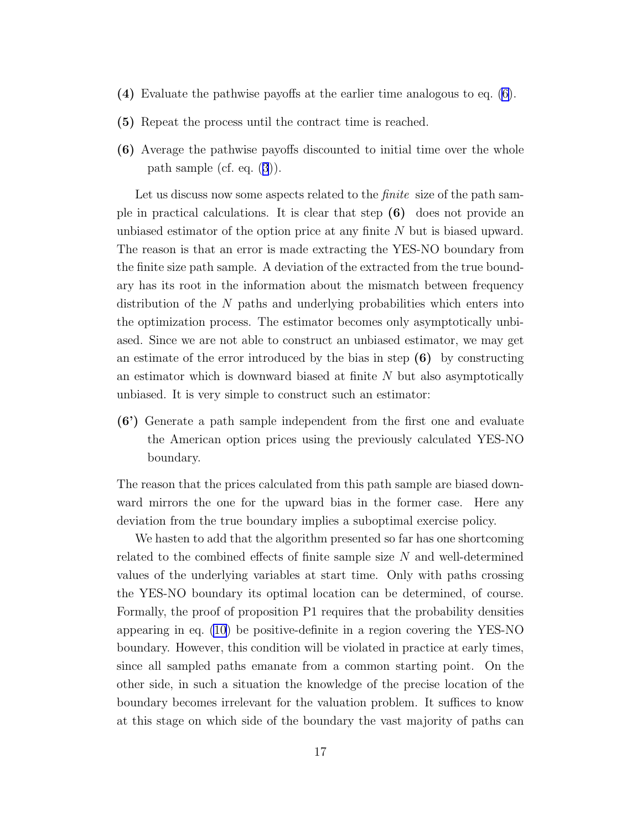- (4) Evaluate the pathwise payoffs at the earlier time analogous to eq. [\(6](#page-9-0)).
- (5) Repeat the process until the contract time is reached.
- (6) Average the pathwise payoffs discounted to initial time over the whole path sample (cf. eq.([3](#page-5-0))).

Let us discuss now some aspects related to the *finite* size of the path sample in practical calculations. It is clear that step (6) does not provide an unbiased estimator of the option price at any finite N but is biased upward. The reason is that an error is made extracting the YES-NO boundary from the finite size path sample. A deviation of the extracted from the true boundary has its root in the information about the mismatch between frequency distribution of the N paths and underlying probabilities which enters into the optimization process. The estimator becomes only asymptotically unbiased. Since we are not able to construct an unbiased estimator, we may get an estimate of the error introduced by the bias in step  $(6)$  by constructing an estimator which is downward biased at finite  $N$  but also asymptotically unbiased. It is very simple to construct such an estimator:

(6') Generate a path sample independent from the first one and evaluate the American option prices using the previously calculated YES-NO boundary.

The reason that the prices calculated from this path sample are biased downward mirrors the one for the upward bias in the former case. Here any deviation from the true boundary implies a suboptimal exercise policy.

We hasten to add that the algorithm presented so far has one shortcoming related to the combined effects of finite sample size  $N$  and well-determined values of the underlying variables at start time. Only with paths crossing the YES-NO boundary its optimal location can be determined, of course. Formally, the proof of proposition P1 requires that the probability densities appearing in eq. [\(10](#page-11-0)) be positive-definite in a region covering the YES-NO boundary. However, this condition will be violated in practice at early times, since all sampled paths emanate from a common starting point. On the other side, in such a situation the knowledge of the precise location of the boundary becomes irrelevant for the valuation problem. It suffices to know at this stage on which side of the boundary the vast majority of paths can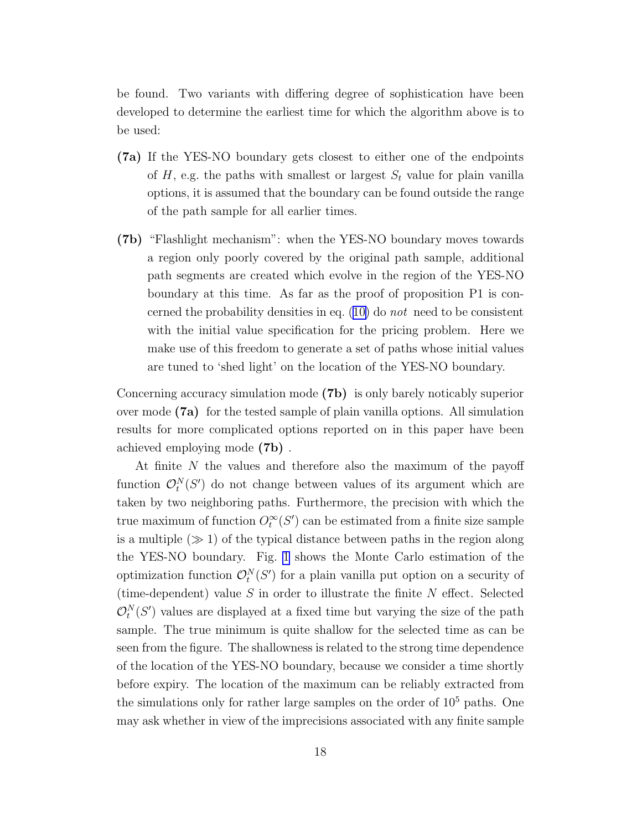be found. Two variants with differing degree of sophistication have been developed to determine the earliest time for which the algorithm above is to be used:

- (7a) If the YES-NO boundary gets closest to either one of the endpoints of H, e.g. the paths with smallest or largest  $S_t$  value for plain vanilla options, it is assumed that the boundary can be found outside the range of the path sample for all earlier times.
- (7b) "Flashlight mechanism": when the YES-NO boundary moves towards a region only poorly covered by the original path sample, additional path segments are created which evolve in the region of the YES-NO boundary at this time. As far as the proof of proposition P1 is concernedthe probability densities in eq.  $(10)$  $(10)$  do not need to be consistent with the initial value specification for the pricing problem. Here we make use of this freedom to generate a set of paths whose initial values are tuned to 'shed light' on the location of the YES-NO boundary.

Concerning accuracy simulation mode (7b) is only barely noticably superior over mode (7a) for the tested sample of plain vanilla options. All simulation results for more complicated options reported on in this paper have been achieved employing mode (7b) .

At finite  $N$  the values and therefore also the maximum of the payoff function  $\mathcal{O}_t^N(S')$  do not change between values of its argument which are taken by two neighboring paths. Furthermore, the precision with which the true maximum of function  $O_t^{\infty}(S')$  can be estimated from a finite size sample is a multiple  $(\gg 1)$  of the typical distance between paths in the region along the YES-NO boundary. Fig. [1](#page-28-0) shows the Monte Carlo estimation of the optimization function  $\mathcal{O}_t^N(S')$  for a plain vanilla put option on a security of (time-dependent) value  $S$  in order to illustrate the finite  $N$  effect. Selected  $\mathcal{O}_t^N(S')$  values are displayed at a fixed time but varying the size of the path sample. The true minimum is quite shallow for the selected time as can be seen from the figure. The shallowness is related to the strong time dependence of the location of the YES-NO boundary, because we consider a time shortly before expiry. The location of the maximum can be reliably extracted from the simulations only for rather large samples on the order of  $10<sup>5</sup>$  paths. One may ask whether in view of the imprecisions associated with any finite sample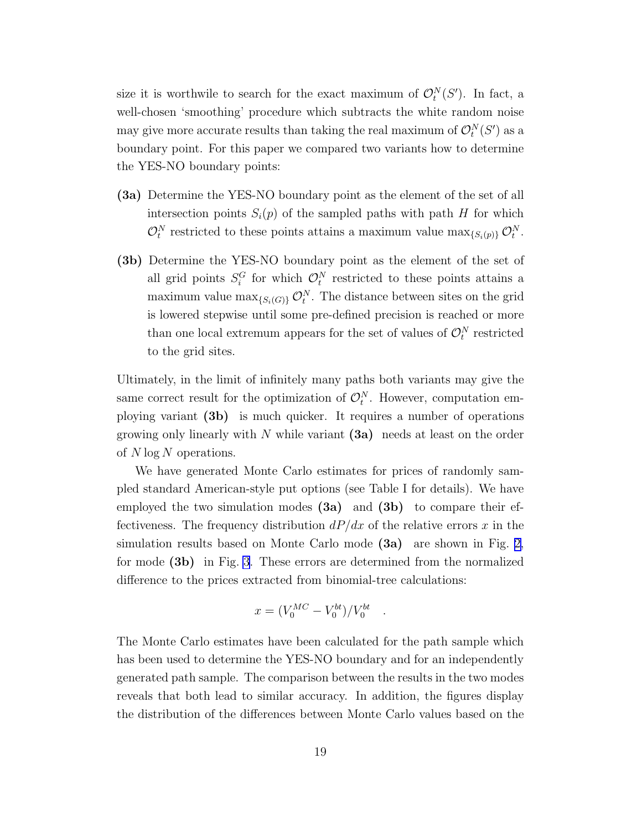size it is worthwile to search for the exact maximum of  $\mathcal{O}_t^N(S')$ . In fact, a well-chosen 'smoothing' procedure which subtracts the white random noise may give more accurate results than taking the real maximum of  $\mathcal{O}_t^N(S')$  as a boundary point. For this paper we compared two variants how to determine the YES-NO boundary points:

- (3a) Determine the YES-NO boundary point as the element of the set of all intersection points  $S_i(p)$  of the sampled paths with path H for which  $\mathcal{O}_t^N$  restricted to these points attains a maximum value  $\max_{\{S_i(p)\}} \mathcal{O}_t^N$ .
- (3b) Determine the YES-NO boundary point as the element of the set of all grid points  $S_i^G$  for which  $\mathcal{O}_t^N$  restricted to these points attains a maximum value  $\max_{\{S_i(G)\}} \mathcal{O}_t^N$ . The distance between sites on the grid is lowered stepwise until some pre-defined precision is reached or more than one local extremum appears for the set of values of  $\mathcal{O}_t^N$  restricted to the grid sites.

Ultimately, in the limit of infinitely many paths both variants may give the same correct result for the optimization of  $\mathcal{O}_t^N$ . However, computation employing variant (3b) is much quicker. It requires a number of operations growing only linearly with N while variant  $(3a)$  needs at least on the order of  $N \log N$  operations.

We have generated Monte Carlo estimates for prices of randomly sampled standard American-style put options (see Table I for details). We have employed the two simulation modes  $(3a)$  and  $(3b)$  to compare their effectiveness. The frequency distribution  $dP/dx$  of the relative errors x in the simulation results based on Monte Carlo mode (3a) are shown in Fig. [2,](#page-29-0) for mode (3b) in Fig. [3](#page-30-0). These errors are determined from the normalized difference to the prices extracted from binomial-tree calculations:

$$
x = (V_0^{MC} - V_0^{bt})/V_0^{bt}
$$

.

The Monte Carlo estimates have been calculated for the path sample which has been used to determine the YES-NO boundary and for an independently generated path sample. The comparison between the results in the two modes reveals that both lead to similar accuracy. In addition, the figures display the distribution of the differences between Monte Carlo values based on the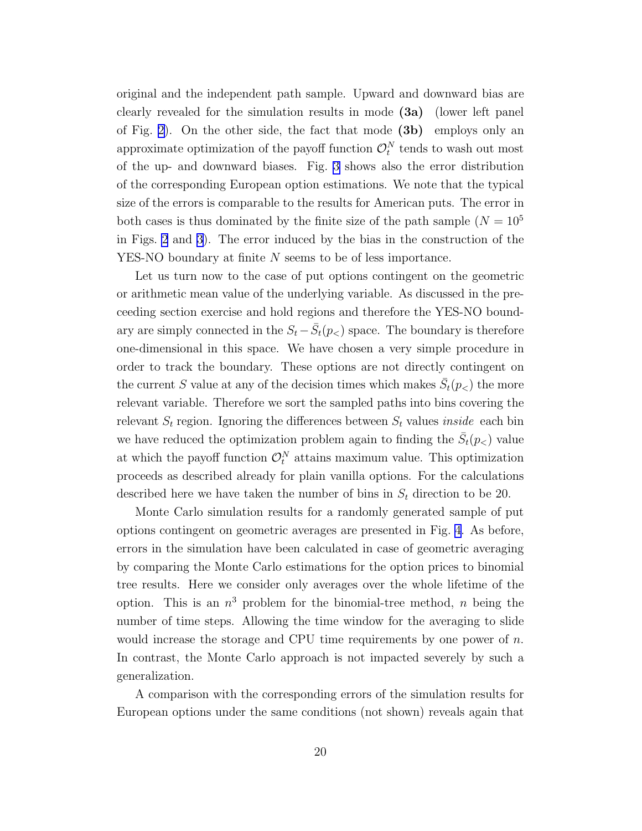original and the independent path sample. Upward and downward bias are clearly revealed for the simulation results in mode (3a) (lower left panel of Fig. [2\)](#page-29-0). On the other side, the fact that mode  $(3b)$  employs only an approximate optimization of the payoff function  $\mathcal{O}_t^N$  tends to wash out most of the up- and downward biases. Fig. [3](#page-30-0) shows also the error distribution of the corresponding European option estimations. We note that the typical size of the errors is comparable to the results for American puts. The error in both cases is thus dominated by the finite size of the path sample  $(N = 10^5$ in Figs. [2](#page-29-0) and [3\)](#page-30-0). The error induced by the bias in the construction of the YES-NO boundary at finite N seems to be of less importance.

Let us turn now to the case of put options contingent on the geometric or arithmetic mean value of the underlying variable. As discussed in the preceeding section exercise and hold regions and therefore the YES-NO boundary are simply connected in the  $S_t - \bar{S}_t(p_<)$  space. The boundary is therefore one-dimensional in this space. We have chosen a very simple procedure in order to track the boundary. These options are not directly contingent on the current S value at any of the decision times which makes  $\bar{S}_t(p_<)$  the more relevant variable. Therefore we sort the sampled paths into bins covering the relevant  $S_t$  region. Ignoring the differences between  $S_t$  values *inside* each bin we have reduced the optimization problem again to finding the  $\bar{S}_t(p_<)$  value at which the payoff function  $\mathcal{O}_t^N$  attains maximum value. This optimization proceeds as described already for plain vanilla options. For the calculations described here we have taken the number of bins in  $S_t$  direction to be 20.

Monte Carlo simulation results for a randomly generated sample of put options contingent on geometric averages are presented in Fig. [4.](#page-31-0) As before, errors in the simulation have been calculated in case of geometric averaging by comparing the Monte Carlo estimations for the option prices to binomial tree results. Here we consider only averages over the whole lifetime of the option. This is an  $n^3$  problem for the binomial-tree method, n being the number of time steps. Allowing the time window for the averaging to slide would increase the storage and CPU time requirements by one power of n. In contrast, the Monte Carlo approach is not impacted severely by such a generalization.

A comparison with the corresponding errors of the simulation results for European options under the same conditions (not shown) reveals again that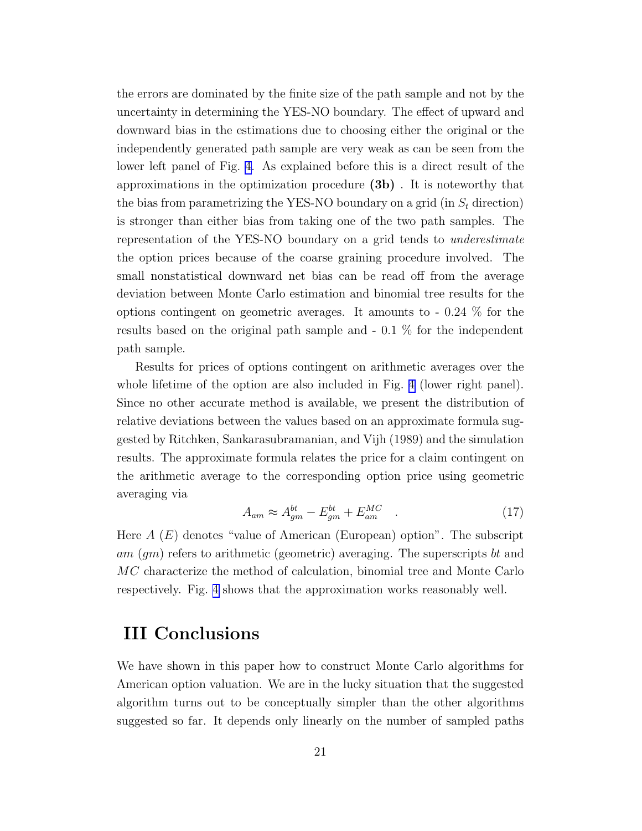<span id="page-20-0"></span>the errors are dominated by the finite size of the path sample and not by the uncertainty in determining the YES-NO boundary. The effect of upward and downward bias in the estimations due to choosing either the original or the independently generated path sample are very weak as can be seen from the lower left panel of Fig. [4.](#page-31-0) As explained before this is a direct result of the approximations in the optimization procedure (3b) . It is noteworthy that the bias from parametrizing the YES-NO boundary on a grid (in  $S_t$  direction) is stronger than either bias from taking one of the two path samples. The representation of the YES-NO boundary on a grid tends to underestimate the option prices because of the coarse graining procedure involved. The small nonstatistical downward net bias can be read off from the average deviation between Monte Carlo estimation and binomial tree results for the options contingent on geometric averages. It amounts to - 0.24 % for the results based on the original path sample and - 0.1 % for the independent path sample.

Results for prices of options contingent on arithmetic averages over the whole lifetime of the option are also included in Fig. [4](#page-31-0) (lower right panel). Since no other accurate method is available, we present the distribution of relative deviations between the values based on an approximate formula suggested by Ritchken, Sankarasubramanian, and Vijh (1989) and the simulation results. The approximate formula relates the price for a claim contingent on the arithmetic average to the corresponding option price using geometric averaging via

$$
A_{am} \approx A_{gm}^{bt} - E_{gm}^{bt} + E_{am}^{MC} \quad . \tag{17}
$$

Here  $A(E)$  denotes "value of American (European) option". The subscript am (gm) refers to arithmetic (geometric) averaging. The superscripts bt and MC characterize the method of calculation, binomial tree and Monte Carlo respectively. Fig. [4](#page-31-0) shows that the approximation works reasonably well.

### III Conclusions

We have shown in this paper how to construct Monte Carlo algorithms for American option valuation. We are in the lucky situation that the suggested algorithm turns out to be conceptually simpler than the other algorithms suggested so far. It depends only linearly on the number of sampled paths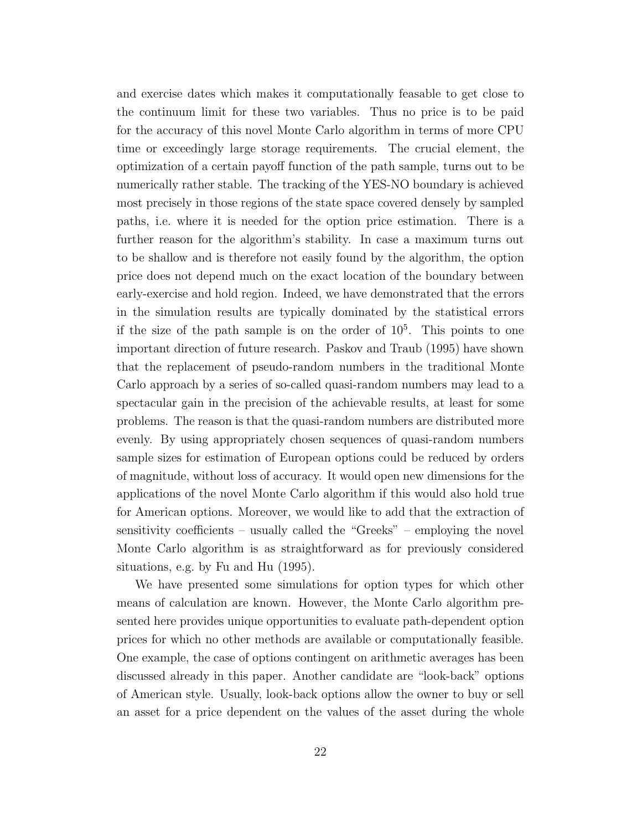and exercise dates which makes it computationally feasable to get close to the continuum limit for these two variables. Thus no price is to be paid for the accuracy of this novel Monte Carlo algorithm in terms of more CPU time or exceedingly large storage requirements. The crucial element, the optimization of a certain payoff function of the path sample, turns out to be numerically rather stable. The tracking of the YES-NO boundary is achieved most precisely in those regions of the state space covered densely by sampled paths, i.e. where it is needed for the option price estimation. There is a further reason for the algorithm's stability. In case a maximum turns out to be shallow and is therefore not easily found by the algorithm, the option price does not depend much on the exact location of the boundary between early-exercise and hold region. Indeed, we have demonstrated that the errors in the simulation results are typically dominated by the statistical errors if the size of the path sample is on the order of  $10<sup>5</sup>$ . This points to one important direction of future research. Paskov and Traub (1995) have shown that the replacement of pseudo-random numbers in the traditional Monte Carlo approach by a series of so-called quasi-random numbers may lead to a spectacular gain in the precision of the achievable results, at least for some problems. The reason is that the quasi-random numbers are distributed more evenly. By using appropriately chosen sequences of quasi-random numbers sample sizes for estimation of European options could be reduced by orders of magnitude, without loss of accuracy. It would open new dimensions for the applications of the novel Monte Carlo algorithm if this would also hold true for American options. Moreover, we would like to add that the extraction of sensitivity coefficients – usually called the "Greeks" – employing the novel Monte Carlo algorithm is as straightforward as for previously considered situations, e.g. by Fu and Hu (1995).

We have presented some simulations for option types for which other means of calculation are known. However, the Monte Carlo algorithm presented here provides unique opportunities to evaluate path-dependent option prices for which no other methods are available or computationally feasible. One example, the case of options contingent on arithmetic averages has been discussed already in this paper. Another candidate are "look-back" options of American style. Usually, look-back options allow the owner to buy or sell an asset for a price dependent on the values of the asset during the whole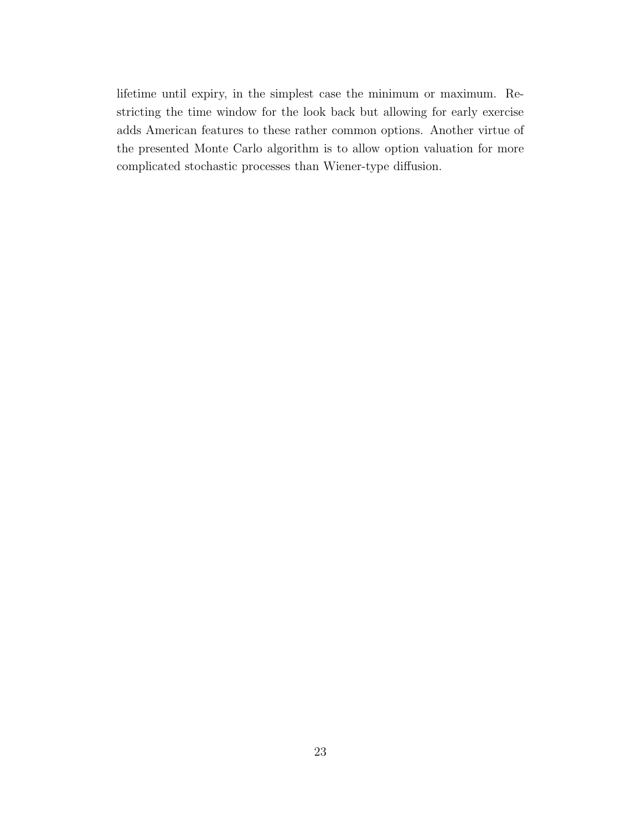lifetime until expiry, in the simplest case the minimum or maximum. Restricting the time window for the look back but allowing for early exercise adds American features to these rather common options. Another virtue of the presented Monte Carlo algorithm is to allow option valuation for more complicated stochastic processes than Wiener-type diffusion.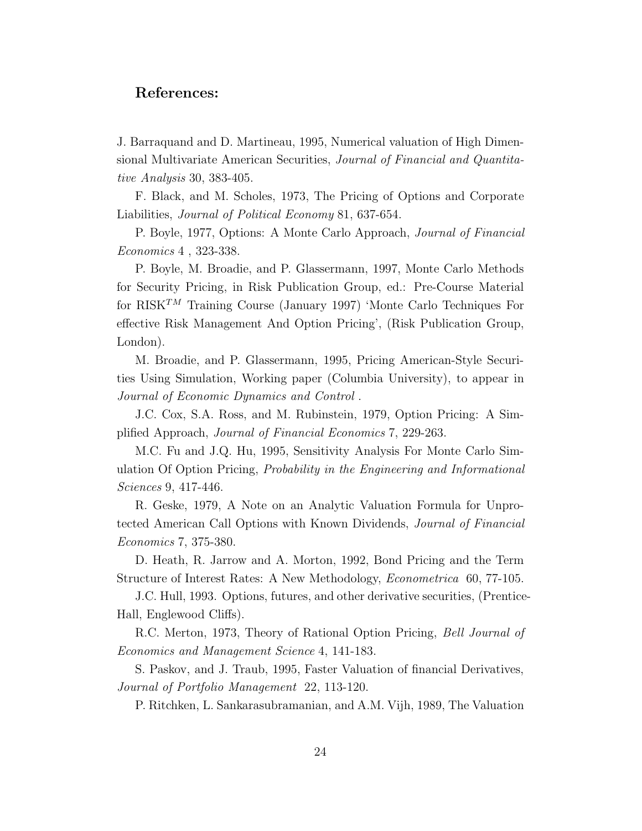#### References:

J. Barraquand and D. Martineau, 1995, Numerical valuation of High Dimensional Multivariate American Securities, Journal of Financial and Quantitative Analysis 30, 383-405.

F. Black, and M. Scholes, 1973, The Pricing of Options and Corporate Liabilities, Journal of Political Economy 81, 637-654.

P. Boyle, 1977, Options: A Monte Carlo Approach, Journal of Financial Economics 4 , 323-338.

P. Boyle, M. Broadie, and P. Glassermann, 1997, Monte Carlo Methods for Security Pricing, in Risk Publication Group, ed.: Pre-Course Material for  $RISK^{TM}$  Training Course (January 1997) 'Monte Carlo Techniques For effective Risk Management And Option Pricing', (Risk Publication Group, London).

M. Broadie, and P. Glassermann, 1995, Pricing American-Style Securities Using Simulation, Working paper (Columbia University), to appear in Journal of Economic Dynamics and Control .

J.C. Cox, S.A. Ross, and M. Rubinstein, 1979, Option Pricing: A Simplified Approach, Journal of Financial Economics 7, 229-263.

M.C. Fu and J.Q. Hu, 1995, Sensitivity Analysis For Monte Carlo Simulation Of Option Pricing, Probability in the Engineering and Informational Sciences 9, 417-446.

R. Geske, 1979, A Note on an Analytic Valuation Formula for Unprotected American Call Options with Known Dividends, Journal of Financial Economics 7, 375-380.

D. Heath, R. Jarrow and A. Morton, 1992, Bond Pricing and the Term Structure of Interest Rates: A New Methodology, Econometrica 60, 77-105.

J.C. Hull, 1993. Options, futures, and other derivative securities, (Prentice-Hall, Englewood Cliffs).

R.C. Merton, 1973, Theory of Rational Option Pricing, Bell Journal of Economics and Management Science 4, 141-183.

S. Paskov, and J. Traub, 1995, Faster Valuation of financial Derivatives, Journal of Portfolio Management 22, 113-120.

P. Ritchken, L. Sankarasubramanian, and A.M. Vijh, 1989, The Valuation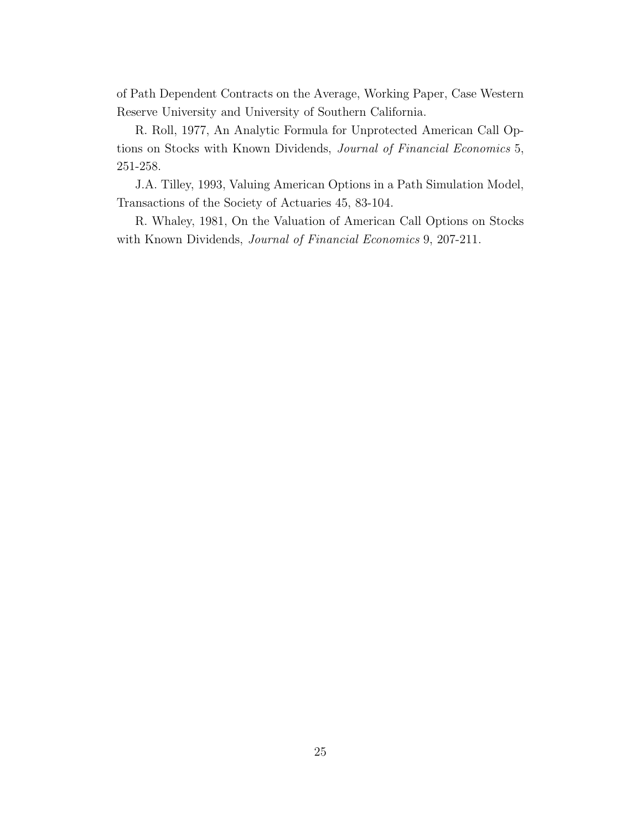of Path Dependent Contracts on the Average, Working Paper, Case Western Reserve University and University of Southern California.

R. Roll, 1977, An Analytic Formula for Unprotected American Call Options on Stocks with Known Dividends, Journal of Financial Economics 5, 251-258.

J.A. Tilley, 1993, Valuing American Options in a Path Simulation Model, Transactions of the Society of Actuaries 45, 83-104.

R. Whaley, 1981, On the Valuation of American Call Options on Stocks with Known Dividends, Journal of Financial Economics 9, 207-211.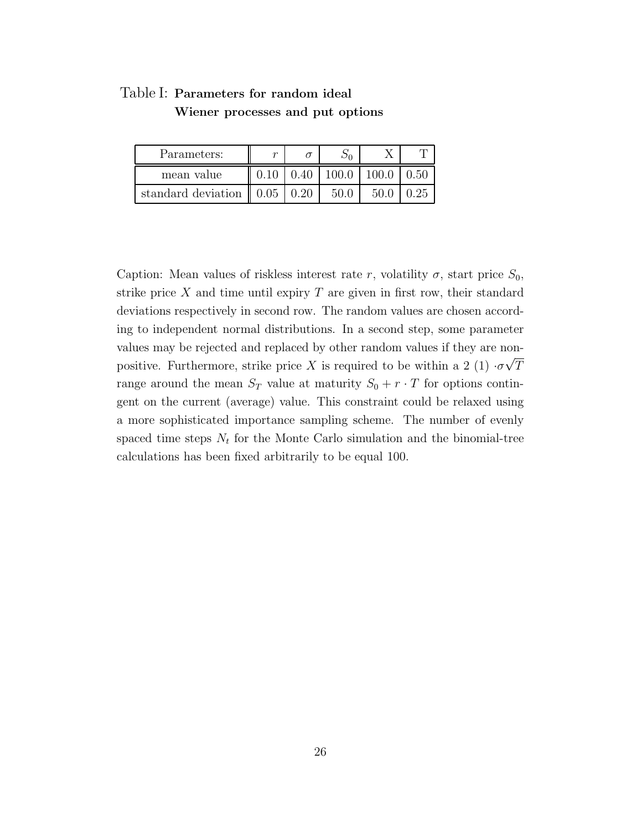| Table I: Parameters for random ideal |  |
|--------------------------------------|--|
| Wiener processes and put options     |  |

| Parameters:                         |                                      |       |       |      |
|-------------------------------------|--------------------------------------|-------|-------|------|
| mean value                          | $0.1$ <sup><math>\Gamma</math></sup> | 100.0 | 100.0 | O 50 |
| standard deviation $\parallel$ 0.05 |                                      |       | 50.0  | .25  |

Caption: Mean values of riskless interest rate r, volatility  $\sigma$ , start price  $S_0$ , strike price  $X$  and time until expiry  $T$  are given in first row, their standard deviations respectively in second row. The random values are chosen according to independent normal distributions. In a second step, some parameter values may be rejected and replaced by other random values if they are nonpositive. Furthermore, strike price X is required to be within a 2 (1)  $\cdot \sigma \sqrt{T}$ range around the mean  $S_T$  value at maturity  $S_0 + r \cdot T$  for options contingent on the current (average) value. This constraint could be relaxed using a more sophisticated importance sampling scheme. The number of evenly spaced time steps  $N_t$  for the Monte Carlo simulation and the binomial-tree calculations has been fixed arbitrarily to be equal 100.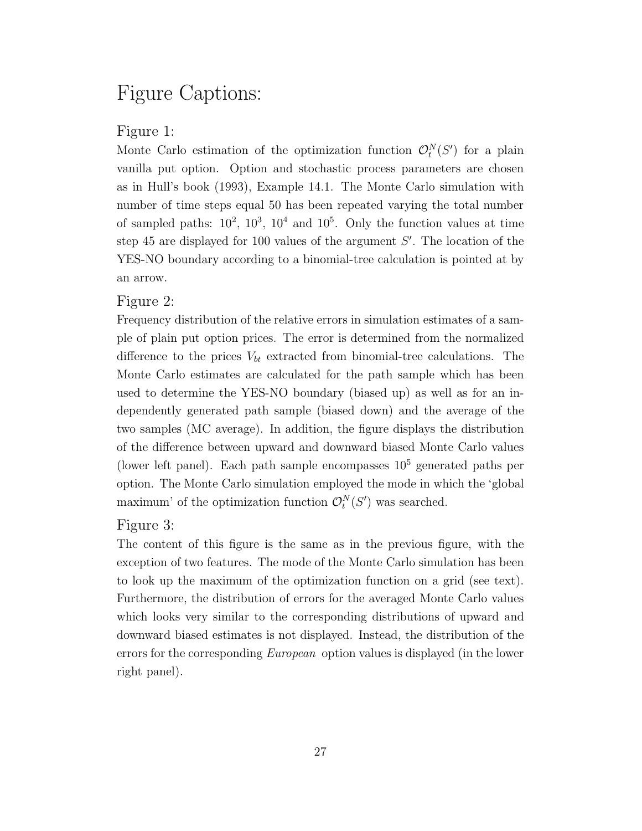## Figure Captions:

#### Figure 1:

Monte Carlo estimation of the optimization function  $\mathcal{O}_t^N(S')$  for a plain vanilla put option. Option and stochastic process parameters are chosen as in Hull's book (1993), Example 14.1. The Monte Carlo simulation with number of time steps equal 50 has been repeated varying the total number of sampled paths:  $10^2$ ,  $10^3$ ,  $10^4$  and  $10^5$ . Only the function values at time step 45 are displayed for 100 values of the argument  $S'$ . The location of the YES-NO boundary according to a binomial-tree calculation is pointed at by an arrow.

#### Figure 2:

Frequency distribution of the relative errors in simulation estimates of a sample of plain put option prices. The error is determined from the normalized difference to the prices  $V_{bt}$  extracted from binomial-tree calculations. The Monte Carlo estimates are calculated for the path sample which has been used to determine the YES-NO boundary (biased up) as well as for an independently generated path sample (biased down) and the average of the two samples (MC average). In addition, the figure displays the distribution of the difference between upward and downward biased Monte Carlo values (lower left panel). Each path sample encompasses  $10<sup>5</sup>$  generated paths per option. The Monte Carlo simulation employed the mode in which the 'global maximum' of the optimization function  $\mathcal{O}_t^N(S')$  was searched.

#### Figure 3:

The content of this figure is the same as in the previous figure, with the exception of two features. The mode of the Monte Carlo simulation has been to look up the maximum of the optimization function on a grid (see text). Furthermore, the distribution of errors for the averaged Monte Carlo values which looks very similar to the corresponding distributions of upward and downward biased estimates is not displayed. Instead, the distribution of the errors for the corresponding European option values is displayed (in the lower right panel).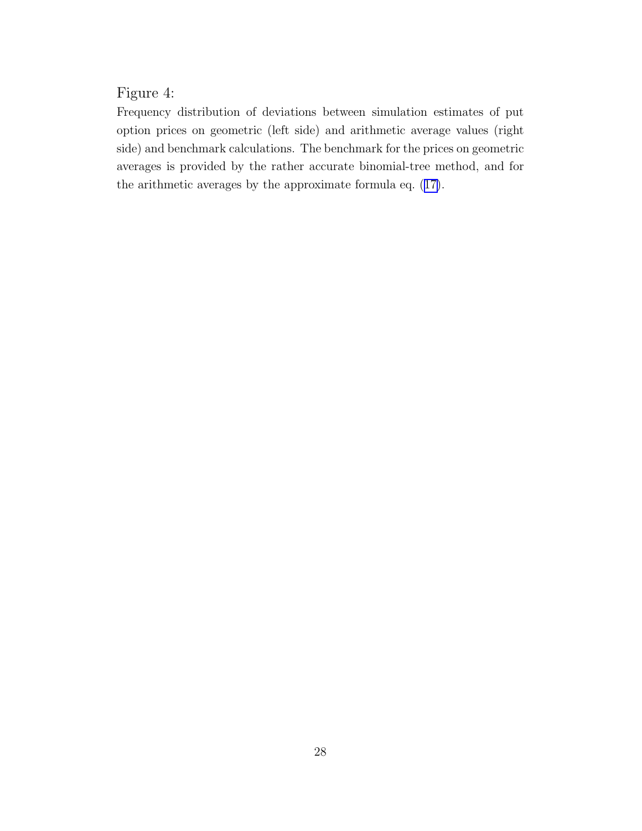### Figure 4:

Frequency distribution of deviations between simulation estimates of put option prices on geometric (left side) and arithmetic average values (right side) and benchmark calculations. The benchmark for the prices on geometric averages is provided by the rather accurate binomial-tree method, and for the arithmetic averages by the approximate formula eq.([17\)](#page-20-0).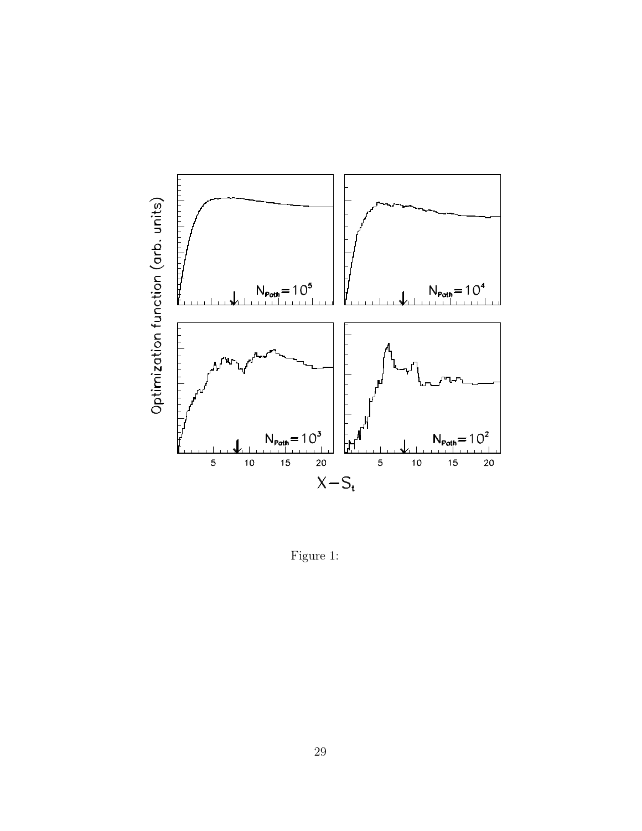<span id="page-28-0"></span>

Figure 1: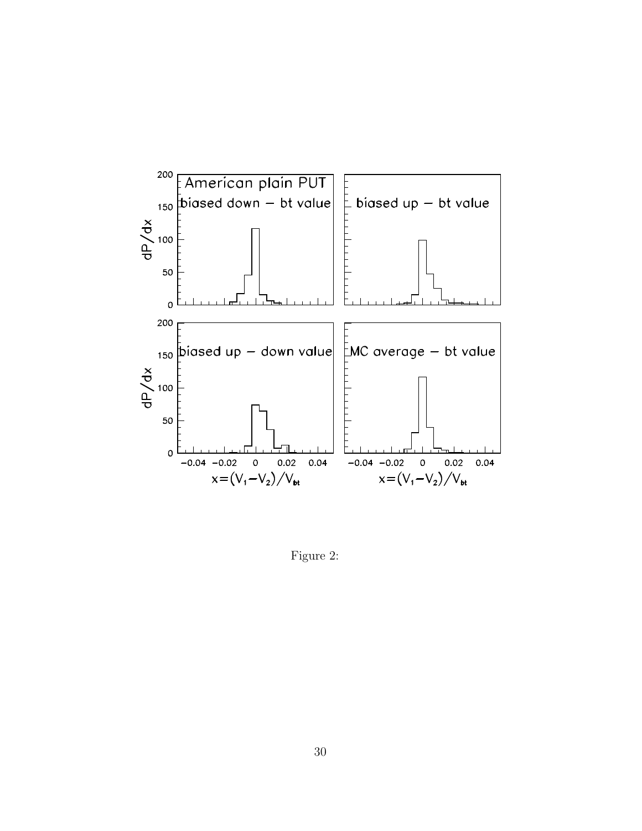<span id="page-29-0"></span>

Figure 2: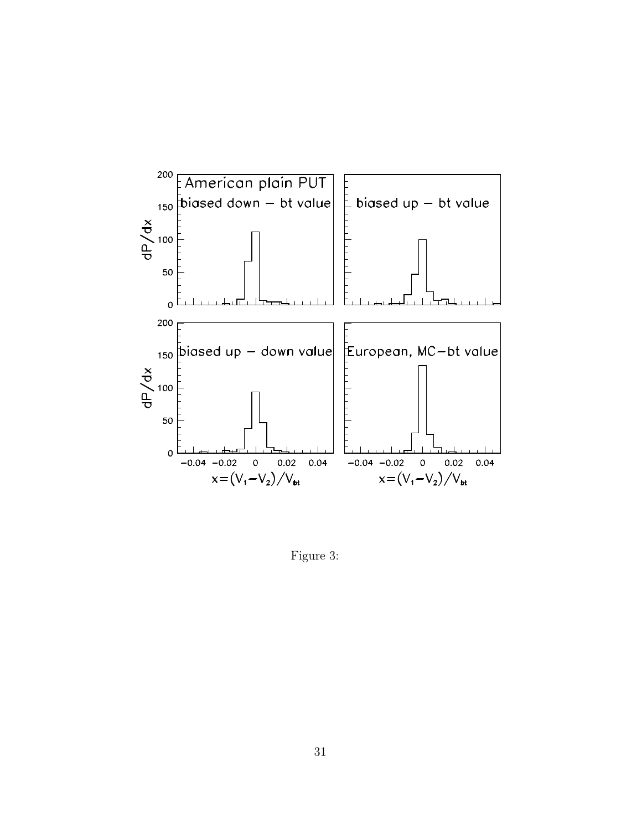<span id="page-30-0"></span>

Figure 3: